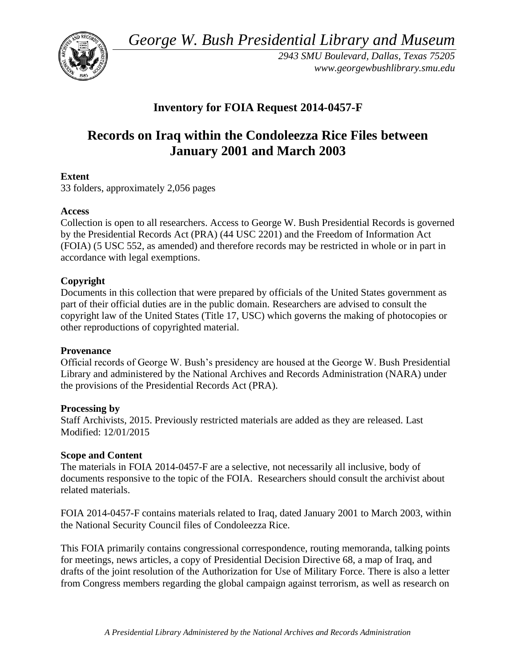*George W. Bush Presidential Library and Museum* 



*2943 SMU Boulevard, Dallas, Texas 75205 <www.georgewbushlibrary.smu.edu>* 

# **Inventory for FOIA Request 2014-0457-F**

# **Records on Iraq within the Condoleezza Rice Files between January 2001 and March 2003**

# **Extent**

33 folders, approximately 2,056 pages

#### **Access**

Collection is open to all researchers. Access to George W. Bush Presidential Records is governed by the Presidential Records Act (PRA) (44 USC 2201) and the Freedom of Information Act (FOIA) (5 USC 552, as amended) and therefore records may be restricted in whole or in part in accordance with legal exemptions.

# **Copyright**

 Documents in this collection that were prepared by officials of the United States government as part of their official duties are in the public domain. Researchers are advised to consult the copyright law of the United States (Title 17, USC) which governs the making of photocopies or other reproductions of copyrighted material.

#### **Provenance**

Official records of George W. Bush's presidency are housed at the George W. Bush Presidential Library and administered by the National Archives and Records Administration (NARA) under the provisions of the Presidential Records Act (PRA).

#### **Processing by**

 Modified: 12/01/2015 Staff Archivists, 2015. Previously restricted materials are added as they are released. Last

#### **Scope and Content**

 documents responsive to the topic of the FOIA. Researchers should consult the archivist about The materials in FOIA 2014-0457-F are a selective, not necessarily all inclusive, body of related materials.

FOIA 2014-0457-F contains materials related to Iraq, dated January 2001 to March 2003, within the National Security Council files of Condoleezza Rice.

This FOIA primarily contains congressional correspondence, routing memoranda, talking points for meetings, news articles, a copy of Presidential Decision Directive 68, a map of Iraq, and drafts of the joint resolution of the Authorization for Use of Military Force. There is also a letter from Congress members regarding the global campaign against terrorism, as well as research on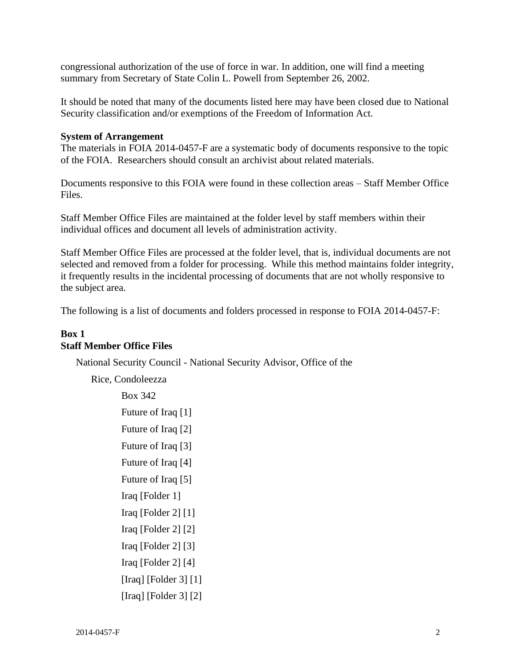congressional authorization of the use of force in war. In addition, one will find a meeting summary from Secretary of State Colin L. Powell from September 26, 2002.

It should be noted that many of the documents listed here may have been closed due to National Security classification and/or exemptions of the Freedom of Information Act.

#### **System of Arrangement**

 The materials in FOIA 2014-0457-F are a systematic body of documents responsive to the topic of the FOIA. Researchers should consult an archivist about related materials.

Documents responsive to this FOIA were found in these collection areas – Staff Member Office Files.

 Staff Member Office Files are maintained at the folder level by staff members within their individual offices and document all levels of administration activity.

Staff Member Office Files are processed at the folder level, that is, individual documents are not selected and removed from a folder for processing. While this method maintains folder integrity, it frequently results in the incidental processing of documents that are not wholly responsive to the subject area.

The following is a list of documents and folders processed in response to FOIA 2014-0457-F:

# **Box 1 Staff Member Office Files**

National Security Council - National Security Advisor, Office of the

Rice, Condoleezza Box 342 Future of Iraq [1] Future of Iraq [2] Future of Iraq [3] Future of Iraq [4] Future of Iraq [5] Iraq [Folder 1] Iraq [Folder 2] [1] Iraq [Folder 2] [2] Iraq [Folder 2] [3] Iraq [Folder 2] [4] [Iraq] [Folder 3] [1] [Iraq] [Folder 3] [2]